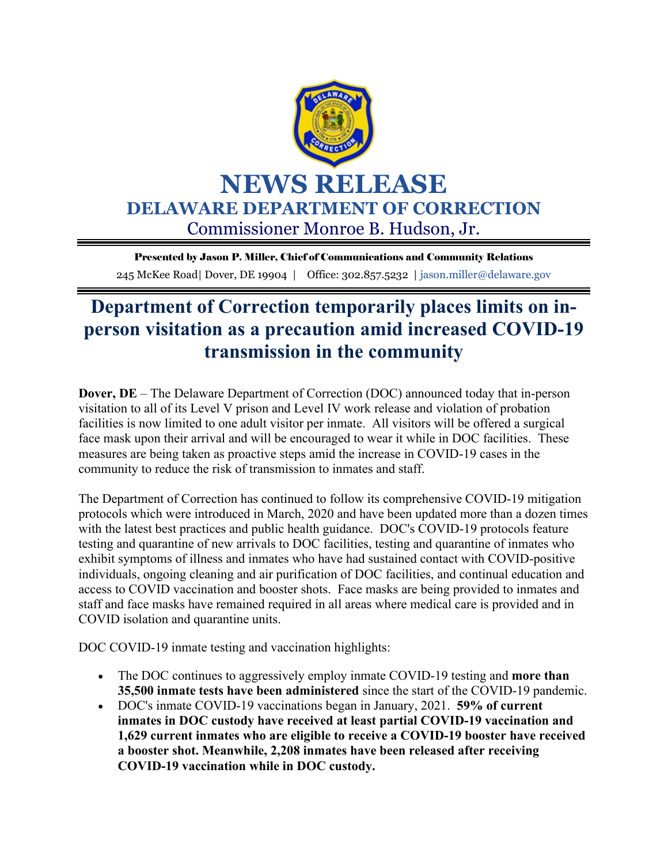

Presented by Jason P. Miller, Chief of Communications and Community Relations 245 McKee Road| Dover, DE 19904 | Office: 302.857.5232 | jason.miller@delaware.gov

## **Department of Correction temporarily places limits on inperson visitation as a precaution amid increased COVID-19 transmission in the community**

**Dover, DE** – The Delaware Department of Correction (DOC) announced today that in-person visitation to all of its Level V prison and Level IV work release and violation of probation facilities is now limited to one adult visitor per inmate. All visitors will be offered a surgical face mask upon their arrival and will be encouraged to wear it while in DOC facilities. These measures are being taken as proactive steps amid the increase in COVID-19 cases in the community to reduce the risk of transmission to inmates and staff.

The Department of Correction has continued to follow its comprehensive COVID-19 mitigation protocols which were introduced in March, 2020 and have been updated more than a dozen times with the latest best practices and public health guidance. DOC's COVID-19 protocols feature testing and quarantine of new arrivals to DOC facilities, testing and quarantine of inmates who exhibit symptoms of illness and inmates who have had sustained contact with COVID-positive individuals, ongoing cleaning and air purification of DOC facilities, and continual education and access to COVID vaccination and booster shots. Face masks are being provided to inmates and staff and face masks have remained required in all areas where medical care is provided and in COVID isolation and quarantine units.

DOC COVID-19 inmate testing and vaccination highlights:

- The DOC continues to aggressively employ inmate COVID-19 testing and **more than 35,500 inmate tests have been administered** since the start of the COVID-19 pandemic.
- DOC's inmate COVID-19 vaccinations began in January, 2021. **59% of current inmates in DOC custody have received at least partial COVID-19 vaccination and 1,629 current inmates who are eligible to receive a COVID-19 booster have received a booster shot. Meanwhile, 2,208 inmates have been released after receiving COVID-19 vaccination while in DOC custody.**